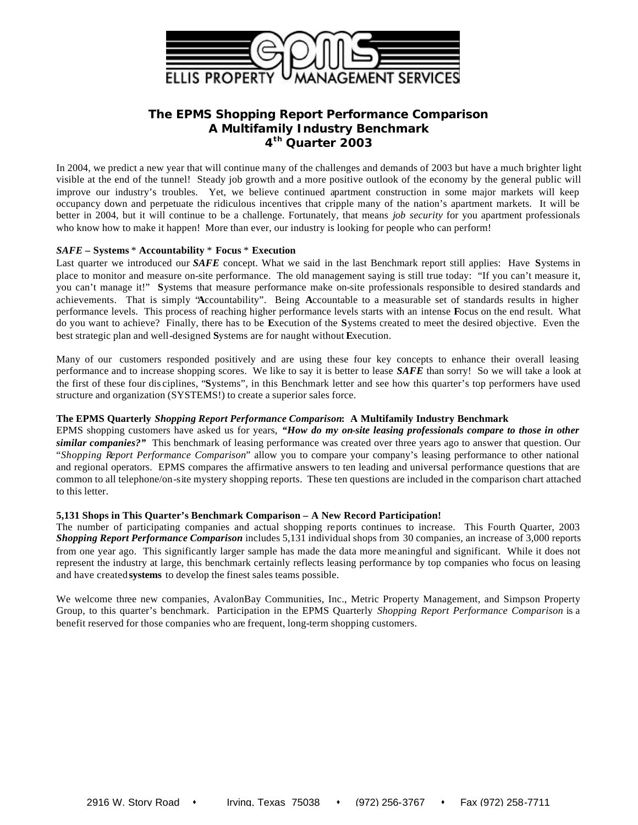

# **The EPMS** *Shopping Report Performance Comparison* **A Multifamily Industry Benchmark 4 th Quarter 2003**

In 2004, we predict a new year that will continue many of the challenges and demands of 2003 but have a much brighter light visible at the end of the tunnel! Steady job growth and a more positive outlook of the economy by the general public will improve our industry's troubles. Yet, we believe continued apartment construction in some major markets will keep occupancy down and perpetuate the ridiculous incentives that cripple many of the nation's apartment markets. It will be better in 2004, but it will continue to be a challenge. Fortunately, that means *job security* for you apartment professionals who know how to make it happen! More than ever, our industry is looking for people who can perform!

## *SAFE* **– Systems** \* **Accountability** \* **Focus** \* **Execution**

Last quarter we introduced our *SAFE* concept. What we said in the last Benchmark report still applies: Have **S**ystems in place to monitor and measure on-site performance. The old management saying is still true today: "If you can't measure it, you can't manage it!" **S**ystems that measure performance make on-site professionals responsible to desired standards and achievements. That is simply "**A**ccountability". Being **A**ccountable to a measurable set of standards results in higher performance levels. This process of reaching higher performance levels starts with an intense **F**ocus on the end result. What do you want to achieve? Finally, there has to be **E**xecution of the **S**ystems created to meet the desired objective. Even the best strategic plan and well-designed **S**ystems are for naught without **E**xecution.

Many of our customers responded positively and are using these four key concepts to enhance their overall leasing performance and to increase shopping scores. We like to say it is better to lease *SAFE* than sorry! So we will take a look at the first of these four dis ciplines, "**S**ystems", in this Benchmark letter and see how this quarter's top performers have used structure and organization (SYSTEMS!) to create a superior sales force.

## **The EPMS Quarterly** *Shopping Report Performance Comparison***: A Multifamily Industry Benchmark**

EPMS shopping customers have asked us for years, *"How do my on-site leasing professionals compare to those in other similar companies?"* This benchmark of leasing performance was created over three years ago to answer that question. Our "*Shopping Report Performance Comparison*" allow you to compare your company's leasing performance to other national and regional operators. EPMS compares the affirmative answers to ten leading and universal performance questions that are common to all telephone/on-site mystery shopping reports. These ten questions are included in the comparison chart attached to this letter.

## **5,131 Shops in This Quarter's Benchmark Comparison – A New Record Participation!**

The number of participating companies and actual shopping reports continues to increase. This Fourth Quarter, 2003 *Shopping Report Performance Comparison* includes 5,131 individual shops from 30 companies, an increase of 3,000 reports from one year ago. This significantly larger sample has made the data more meaningful and significant. While it does not represent the industry at large, this benchmark certainly reflects leasing performance by top companies who focus on leasing and have created **systems** to develop the finest sales teams possible.

We welcome three new companies, AvalonBay Communities, Inc., Metric Property Management, and Simpson Property Group, to this quarter's benchmark. Participation in the EPMS Quarterly *Shopping Report Performance Comparison* is a benefit reserved for those companies who are frequent, long-term shopping customers.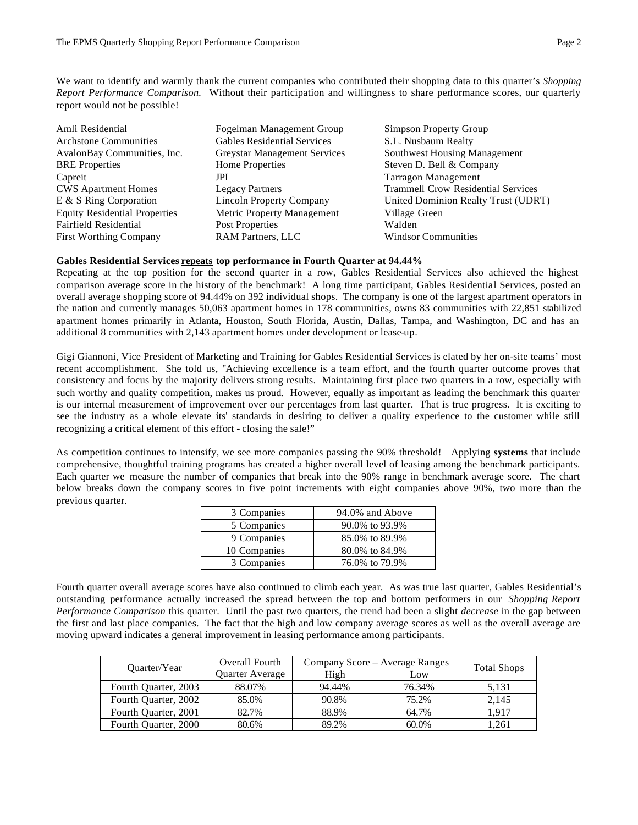We want to identify and warmly thank the current companies who contributed their shopping data to this quarter's *Shopping Report Performance Comparison.* Without their participation and willingness to share performance scores, our quarterly report would not be possible!

| Amli Residential                     | Fogelman Management Group           | Simpson Property Group                    |
|--------------------------------------|-------------------------------------|-------------------------------------------|
| <b>Architone Communities</b>         | <b>Gables Residential Services</b>  | S.L. Nusbaum Realty                       |
| AvalonBay Communities, Inc.          | <b>Greystar Management Services</b> | Southwest Housing Management              |
| <b>BRE</b> Properties                | <b>Home Properties</b>              | Steven D. Bell & Company                  |
| Capreit                              | JPI                                 | <b>Tarragon Management</b>                |
| <b>CWS Apartment Homes</b>           | <b>Legacy Partners</b>              | <b>Trammell Crow Residential Services</b> |
| E & S Ring Corporation               | <b>Lincoln Property Company</b>     | United Dominion Realty Trust (UDRT)       |
| <b>Equity Residential Properties</b> | Metric Property Management          | Village Green                             |
| Fairfield Residential                | Post Properties                     | Walden                                    |
| <b>First Worthing Company</b>        | <b>RAM Partners, LLC</b>            | <b>Windsor Communities</b>                |

### **Gables Residential Services repeats top performance in Fourth Quarter at 94.44%**

Repeating at the top position for the second quarter in a row, Gables Residential Services also achieved the highest comparison average score in the history of the benchmark! A long time participant, Gables Residential Services, posted an overall average shopping score of 94.44% on 392 individual shops. The company is one of the largest apartment operators in the nation and currently manages 50,063 apartment homes in 178 communities, owns 83 communities with 22,851 stabilized apartment homes primarily in Atlanta, Houston, South Florida, Austin, Dallas, Tampa, and Washington, DC and has an additional 8 communities with 2,143 apartment homes under development or lease-up.

Gigi Giannoni, Vice President of Marketing and Training for Gables Residential Services is elated by her on-site teams' most recent accomplishment. She told us, "Achieving excellence is a team effort, and the fourth quarter outcome proves that consistency and focus by the majority delivers strong results. Maintaining first place two quarters in a row, especially with such worthy and quality competition, makes us proud. However, equally as important as leading the benchmark this quarter is our internal measurement of improvement over our percentages from last quarter. That is true progress. It is exciting to see the industry as a whole elevate its' standards in desiring to deliver a quality experience to the customer while still recognizing a critical element of this effort - closing the sale!"

As competition continues to intensify, we see more companies passing the 90% threshold! Applying **systems** that include comprehensive, thoughtful training programs has created a higher overall level of leasing among the benchmark participants. Each quarter we measure the number of companies that break into the 90% range in benchmark average score. The chart below breaks down the company scores in five point increments with eight companies above 90%, two more than the previous quarter.

| 3 Companies  | 94.0% and Above |
|--------------|-----------------|
| 5 Companies  | 90.0% to 93.9%  |
| 9 Companies  | 85.0% to 89.9%  |
| 10 Companies | 80.0% to 84.9%  |
| 3 Companies  | 76.0% to 79.9%  |

Fourth quarter overall average scores have also continued to climb each year. As was true last quarter, Gables Residential's outstanding performance actually increased the spread between the top and bottom performers in our *Shopping Report Performance Comparison* this quarter. Until the past two quarters, the trend had been a slight *decrease* in the gap between the first and last place companies. The fact that the high and low company average scores as well as the overall average are moving upward indicates a general improvement in leasing performance among participants.

| Quarter/Year         | Overall Fourth  |        | Company Score – Average Ranges |                    |  |
|----------------------|-----------------|--------|--------------------------------|--------------------|--|
|                      | Quarter Average | High   | Low                            | <b>Total Shops</b> |  |
| Fourth Quarter, 2003 | 88.07%          | 94.44% | 76.34%                         | 5.131              |  |
| Fourth Quarter, 2002 | 85.0%           | 90.8%  | 75.2%                          | 2.145              |  |
| Fourth Quarter, 2001 | 82.7%           | 88.9%  | 64.7%                          | 1.917              |  |
| Fourth Quarter, 2000 | 80.6%           | 89.2%  | $60.0\%$                       | 1.261              |  |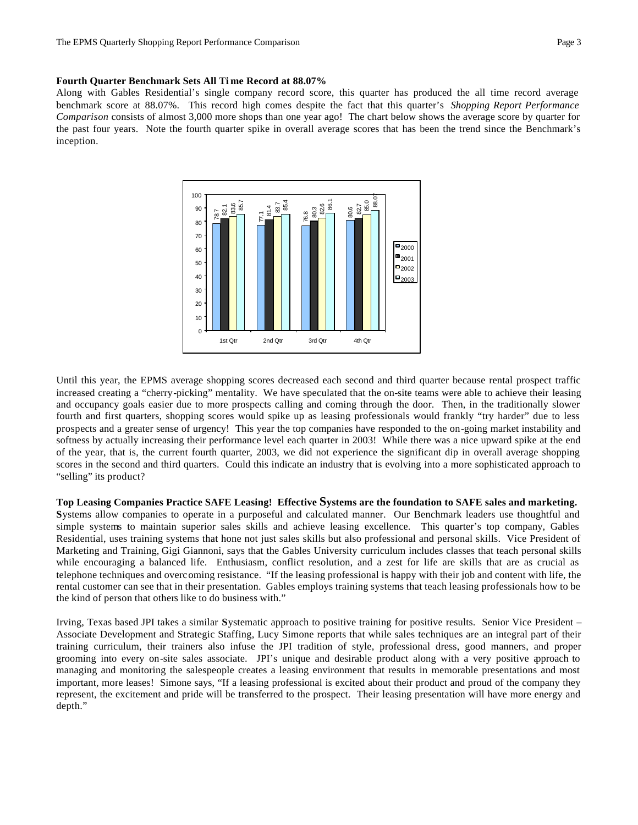### **Fourth Quarter Benchmark Sets All Ti me Record at 88.07%**

Along with Gables Residential's single company record score, this quarter has produced the all time record average benchmark score at 88.07%. This record high comes despite the fact that this quarter's *Shopping Report Performance Comparison* consists of almost 3,000 more shops than one year ago! The chart below shows the average score by quarter for the past four years. Note the fourth quarter spike in overall average scores that has been the trend since the Benchmark's inception.



Until this year, the EPMS average shopping scores decreased each second and third quarter because rental prospect traffic increased creating a "cherry-picking" mentality. We have speculated that the on-site teams were able to achieve their leasing and occupancy goals easier due to more prospects calling and coming through the door. Then, in the traditionally slower fourth and first quarters, shopping scores would spike up as leasing professionals would frankly "try harder" due to less prospects and a greater sense of urgency! This year the top companies have responded to the on-going market instability and softness by actually increasing their performance level each quarter in 2003! While there was a nice upward spike at the end of the year, that is, the current fourth quarter, 2003, we did not experience the significant dip in overall average shopping scores in the second and third quarters. Could this indicate an industry that is evolving into a more sophisticated approach to "selling" its product?

### **Top Leasing Companies Practice SAFE Leasing! Effective Systems are the foundation to SAFE sales and marketing.**

**S**ystems allow companies to operate in a purposeful and calculated manner. Our Benchmark leaders use thoughtful and simple systems to maintain superior sales skills and achieve leasing excellence. This quarter's top company, Gables Residential, uses training systems that hone not just sales skills but also professional and personal skills. Vice President of Marketing and Training, Gigi Giannoni, says that the Gables University curriculum includes classes that teach personal skills while encouraging a balanced life. Enthusiasm, conflict resolution, and a zest for life are skills that are as crucial as telephone techniques and overcoming resistance. "If the leasing professional is happy with their job and content with life, the rental customer can see that in their presentation. Gables employs training systems that teach leasing professionals how to be the kind of person that others like to do business with."

Irving, Texas based JPI takes a similar **S**ystematic approach to positive training for positive results. Senior Vice President – Associate Development and Strategic Staffing, Lucy Simone reports that while sales techniques are an integral part of their training curriculum, their trainers also infuse the JPI tradition of style, professional dress, good manners, and proper grooming into every on-site sales associate. JPI's unique and desirable product along with a very positive approach to managing and monitoring the salespeople creates a leasing environment that results in memorable presentations and most important, more leases! Simone says, "If a leasing professional is excited about their product and proud of the company they represent, the excitement and pride will be transferred to the prospect. Their leasing presentation will have more energy and depth."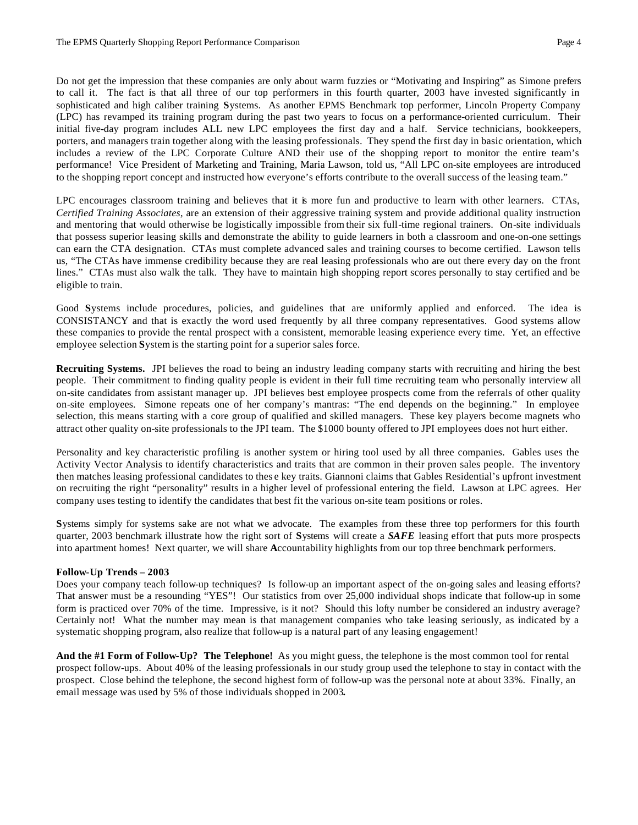Do not get the impression that these companies are only about warm fuzzies or "Motivating and Inspiring" as Simone prefers to call it. The fact is that all three of our top performers in this fourth quarter, 2003 have invested significantly in sophisticated and high caliber training **S**ystems. As another EPMS Benchmark top performer, Lincoln Property Company (LPC) has revamped its training program during the past two years to focus on a performance-oriented curriculum. Their initial five-day program includes ALL new LPC employees the first day and a half. Service technicians, bookkeepers, porters, and managers train together along with the leasing professionals. They spend the first day in basic orientation, which includes a review of the LPC Corporate Culture AND their use of the shopping report to monitor the entire team's performance! Vice President of Marketing and Training, Maria Lawson, told us, "All LPC on-site employees are introduced to the shopping report concept and instructed how everyone's efforts contribute to the overall success of the leasing team."

LPC encourages classroom training and believes that it is more fun and productive to learn with other learners. CTAs, *Certified Training Associates*, are an extension of their aggressive training system and provide additional quality instruction and mentoring that would otherwise be logistically impossible from their six full-time regional trainers. On-site individuals that possess superior leasing skills and demonstrate the ability to guide learners in both a classroom and one-on-one settings can earn the CTA designation. CTAs must complete advanced sales and training courses to become certified. Lawson tells us, "The CTAs have immense credibility because they are real leasing professionals who are out there every day on the front lines." CTAs must also walk the talk. They have to maintain high shopping report scores personally to stay certified and be eligible to train.

Good **S**ystems include procedures, policies, and guidelines that are uniformly applied and enforced. The idea is CONSISTANCY and that is exactly the word used frequently by all three company representatives. Good systems allow these companies to provide the rental prospect with a consistent, memorable leasing experience every time. Yet, an effective employee selection **S**ystem is the starting point for a superior sales force.

**Recruiting Systems.** JPI believes the road to being an industry leading company starts with recruiting and hiring the best people. Their commitment to finding quality people is evident in their full time recruiting team who personally interview all on-site candidates from assistant manager up. JPI believes best employee prospects come from the referrals of other quality on-site employees. Simone repeats one of her company's mantras: "The end depends on the beginning." In employee selection, this means starting with a core group of qualified and skilled managers. These key players become magnets who attract other quality on-site professionals to the JPI team. The \$1000 bounty offered to JPI employees does not hurt either.

Personality and key characteristic profiling is another system or hiring tool used by all three companies. Gables uses the Activity Vector Analysis to identify characteristics and traits that are common in their proven sales people. The inventory then matches leasing professional candidates to thes e key traits. Giannoni claims that Gables Residential's upfront investment on recruiting the right "personality" results in a higher level of professional entering the field. Lawson at LPC agrees. Her company uses testing to identify the candidates that best fit the various on-site team positions or roles.

**S**ystems simply for systems sake are not what we advocate. The examples from these three top performers for this fourth quarter, 2003 benchmark illustrate how the right sort of **S**ystems will create a *SAFE* leasing effort that puts more prospects into apartment homes! Next quarter, we will share **A**ccountability highlights from our top three benchmark performers.

## **Follow-Up Trends – 2003**

Does your company teach follow-up techniques? Is follow-up an important aspect of the on-going sales and leasing efforts? That answer must be a resounding "YES"! Our statistics from over 25,000 individual shops indicate that follow-up in some form is practiced over 70% of the time. Impressive, is it not? Should this lofty number be considered an industry average? Certainly not! What the number may mean is that management companies who take leasing seriously, as indicated by a systematic shopping program, also realize that follow-up is a natural part of any leasing engagement!

**And the #1 Form of Follow-Up? The Telephone!** As you might guess, the telephone is the most common tool for rental prospect follow-ups. About 40% of the leasing professionals in our study group used the telephone to stay in contact with the prospect. Close behind the telephone, the second highest form of follow-up was the personal note at about 33%. Finally, an email message was used by 5% of those individuals shopped in 2003**.**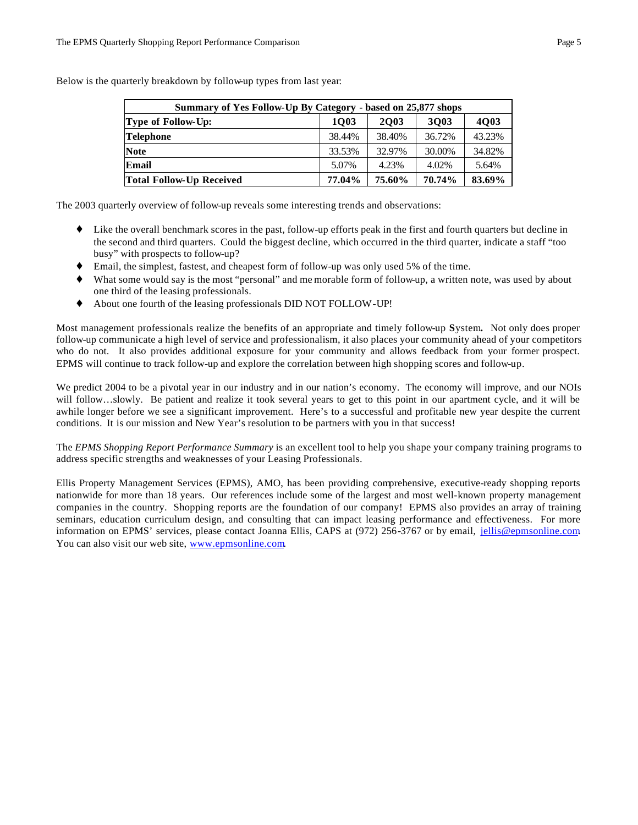| Summary of Yes Follow-Up By Category - based on 25,877 shops |        |             |        |        |  |  |  |
|--------------------------------------------------------------|--------|-------------|--------|--------|--|--|--|
| <b>Type of Follow-Up:</b>                                    | 1003   | <b>2003</b> | 3003   | 4Q03   |  |  |  |
| <b>Telephone</b>                                             | 38.44% | 38.40%      | 36.72% | 43.23% |  |  |  |
| <b>Note</b>                                                  | 33.53% | 32.97%      | 30.00% | 34.82% |  |  |  |
| Email                                                        | 5.07%  | 4.23%       | 4.02%  | 5.64%  |  |  |  |
| <b>Total Follow-Up Received</b>                              | 77.04% | 75.60%      | 70.74% | 83.69% |  |  |  |

Below is the quarterly breakdown by follow-up types from last year:

The 2003 quarterly overview of follow-up reveals some interesting trends and observations:

- ♦ Like the overall benchmark scores in the past, follow-up efforts peak in the first and fourth quarters but decline in the second and third quarters. Could the biggest decline, which occurred in the third quarter, indicate a staff "too busy" with prospects to follow-up?
- ♦ Email, the simplest, fastest, and cheapest form of follow-up was only used 5% of the time.
- ♦ What some would say is the most "personal" and me morable form of follow-up, a written note, was used by about one third of the leasing professionals.
- ♦ About one fourth of the leasing professionals DID NOT FOLLOW-UP!

Most management professionals realize the benefits of an appropriate and timely follow-up **S**ystem**.** Not only does proper follow-up communicate a high level of service and professionalism, it also places your community ahead of your competitors who do not. It also provides additional exposure for your community and allows feedback from your former prospect. EPMS will continue to track follow-up and explore the correlation between high shopping scores and follow-up.

We predict 2004 to be a pivotal year in our industry and in our nation's economy. The economy will improve, and our NOIs will follow…slowly. Be patient and realize it took several years to get to this point in our apartment cycle, and it will be awhile longer before we see a significant improvement. Here's to a successful and profitable new year despite the current conditions. It is our mission and New Year's resolution to be partners with you in that success!

The *EPMS Shopping Report Performance Summary* is an excellent tool to help you shape your company training programs to address specific strengths and weaknesses of your Leasing Professionals.

Ellis Property Management Services (EPMS), AMO, has been providing comprehensive, executive-ready shopping reports nationwide for more than 18 years. Our references include some of the largest and most well-known property management companies in the country. Shopping reports are the foundation of our company! EPMS also provides an array of training seminars, education curriculum design, and consulting that can impact leasing performance and effectiveness. For more information on EPMS' services, please contact Joanna Ellis, CAPS at (972) 256-3767 or by email, jellis@epmsonline.com. You can also visit our web site, www.epmsonline.com.